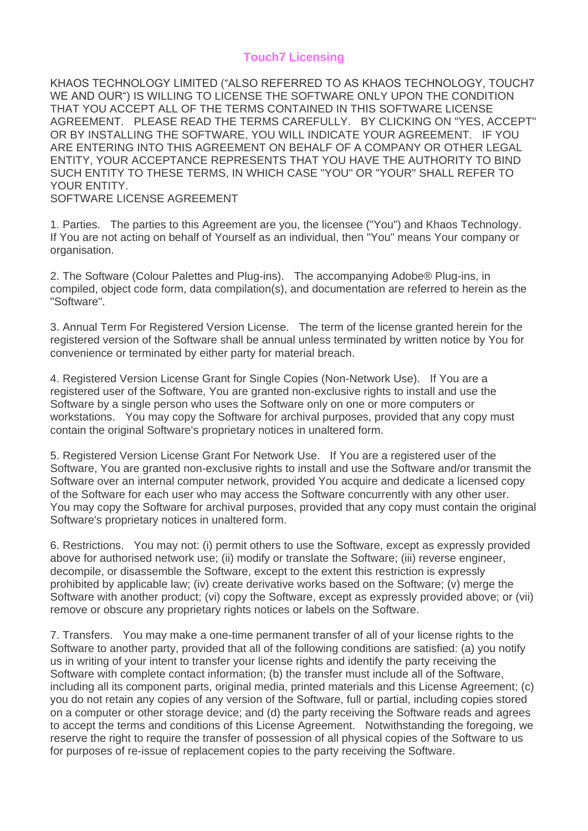## **Touch7 Licensing**

KHAOS TECHNOLOGY LIMITED ("ALSO REFERRED TO AS KHAOS TECHNOLOGY, TOUCH7 WE AND OUR") IS WILLING TO LICENSE THE SOFTWARE ONLY UPON THE CONDITION THAT YOU ACCEPT ALL OF THE TERMS CONTAINED IN THIS SOFTWARE LICENSE AGREEMENT. PLEASE READ THE TERMS CAREFULLY. BY CLICKING ON "YES, ACCEPT" OR BY INSTALLING THE SOFTWARE, YOU WILL INDICATE YOUR AGREEMENT. IF YOU ARE ENTERING INTO THIS AGREEMENT ON BEHALF OF A COMPANY OR OTHER LEGAL ENTITY, YOUR ACCEPTANCE REPRESENTS THAT YOU HAVE THE AUTHORITY TO BIND SUCH ENTITY TO THESE TERMS, IN WHICH CASE "YOU" OR "YOUR" SHALL REFER TO YOUR ENTITY. SOFTWARE LICENSE AGREEMENT

1. Parties. The parties to this Agreement are you, the licensee ("You") and Khaos Technology. If You are not acting on behalf of Yourself as an individual, then "You" means Your company or organisation.

2. The Software (Colour Palettes and Plug-ins). The accompanying Adobe® Plug-ins, in compiled, object code form, data compilation(s), and documentation are referred to herein as the "Software".

3. Annual Term For Registered Version License. The term of the license granted herein for the registered version of the Software shall be annual unless terminated by written notice by You for convenience or terminated by either party for material breach.

4. Registered Version License Grant for Single Copies (Non-Network Use). If You are a registered user of the Software, You are granted non-exclusive rights to install and use the Software by a single person who uses the Software only on one or more computers or workstations. You may copy the Software for archival purposes, provided that any copy must contain the original Software's proprietary notices in unaltered form.

5. Registered Version License Grant For Network Use. If You are a registered user of the Software, You are granted non-exclusive rights to install and use the Software and/or transmit the Software over an internal computer network, provided You acquire and dedicate a licensed copy of the Software for each user who may access the Software concurrently with any other user. You may copy the Software for archival purposes, provided that any copy must contain the original Software's proprietary notices in unaltered form.

6. Restrictions. You may not: (i) permit others to use the Software, except as expressly provided above for authorised network use; (ii) modify or translate the Software; (iii) reverse engineer, decompile, or disassemble the Software, except to the extent this restriction is expressly prohibited by applicable law; (iv) create derivative works based on the Software; (v) merge the Software with another product; (vi) copy the Software, except as expressly provided above; or (vii) remove or obscure any proprietary rights notices or labels on the Software.

7. Transfers. You may make a one-time permanent transfer of all of your license rights to the Software to another party, provided that all of the following conditions are satisfied: (a) you notify us in writing of your intent to transfer your license rights and identify the party receiving the Software with complete contact information; (b) the transfer must include all of the Software, including all its component parts, original media, printed materials and this License Agreement; (c) you do not retain any copies of any version of the Software, full or partial, including copies stored on a computer or other storage device; and (d) the party receiving the Software reads and agrees to accept the terms and conditions of this License Agreement. Notwithstanding the foregoing, we reserve the right to require the transfer of possession of all physical copies of the Software to us for purposes of re-issue of replacement copies to the party receiving the Software.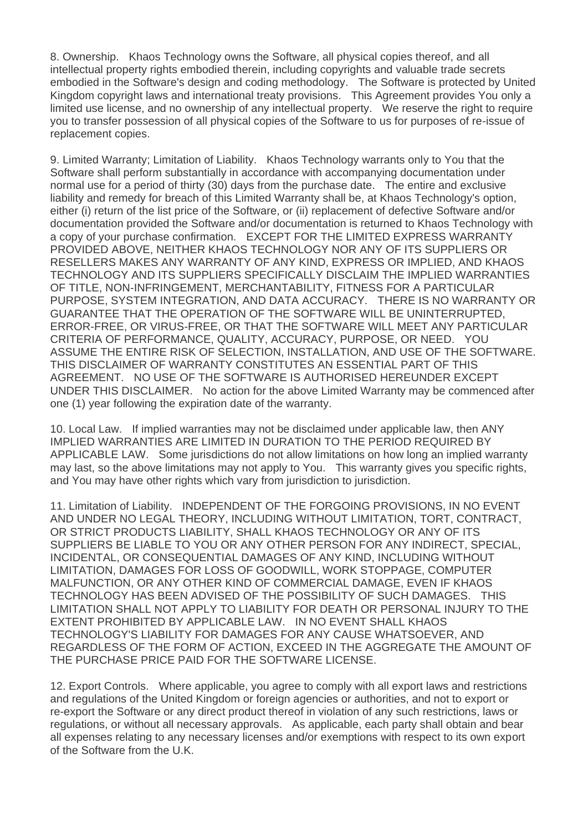8. Ownership. Khaos Technology owns the Software, all physical copies thereof, and all intellectual property rights embodied therein, including copyrights and valuable trade secrets embodied in the Software's design and coding methodology. The Software is protected by United Kingdom copyright laws and international treaty provisions. This Agreement provides You only a limited use license, and no ownership of any intellectual property. We reserve the right to require you to transfer possession of all physical copies of the Software to us for purposes of re-issue of replacement copies.

9. Limited Warranty; Limitation of Liability. Khaos Technology warrants only to You that the Software shall perform substantially in accordance with accompanying documentation under normal use for a period of thirty (30) days from the purchase date. The entire and exclusive liability and remedy for breach of this Limited Warranty shall be, at Khaos Technology's option, either (i) return of the list price of the Software, or (ii) replacement of defective Software and/or documentation provided the Software and/or documentation is returned to Khaos Technology with a copy of your purchase confirmation. EXCEPT FOR THE LIMITED EXPRESS WARRANTY PROVIDED ABOVE, NEITHER KHAOS TECHNOLOGY NOR ANY OF ITS SUPPLIERS OR RESELLERS MAKES ANY WARRANTY OF ANY KIND, EXPRESS OR IMPLIED, AND KHAOS TECHNOLOGY AND ITS SUPPLIERS SPECIFICALLY DISCLAIM THE IMPLIED WARRANTIES OF TITLE, NON-INFRINGEMENT, MERCHANTABILITY, FITNESS FOR A PARTICULAR PURPOSE, SYSTEM INTEGRATION, AND DATA ACCURACY. THERE IS NO WARRANTY OR GUARANTEE THAT THE OPERATION OF THE SOFTWARE WILL BE UNINTERRUPTED, ERROR-FREE, OR VIRUS-FREE, OR THAT THE SOFTWARE WILL MEET ANY PARTICULAR CRITERIA OF PERFORMANCE, QUALITY, ACCURACY, PURPOSE, OR NEED. YOU ASSUME THE ENTIRE RISK OF SELECTION, INSTALLATION, AND USE OF THE SOFTWARE. THIS DISCLAIMER OF WARRANTY CONSTITUTES AN ESSENTIAL PART OF THIS AGREEMENT. NO USE OF THE SOFTWARE IS AUTHORISED HEREUNDER EXCEPT UNDER THIS DISCLAIMER. No action for the above Limited Warranty may be commenced after one (1) year following the expiration date of the warranty.

10. Local Law. If implied warranties may not be disclaimed under applicable law, then ANY IMPLIED WARRANTIES ARE LIMITED IN DURATION TO THE PERIOD REQUIRED BY APPLICABLE LAW. Some jurisdictions do not allow limitations on how long an implied warranty may last, so the above limitations may not apply to You. This warranty gives you specific rights, and You may have other rights which vary from jurisdiction to jurisdiction.

11. Limitation of Liability. INDEPENDENT OF THE FORGOING PROVISIONS, IN NO EVENT AND UNDER NO LEGAL THEORY, INCLUDING WITHOUT LIMITATION, TORT, CONTRACT, OR STRICT PRODUCTS LIABILITY, SHALL KHAOS TECHNOLOGY OR ANY OF ITS SUPPLIERS BE LIABLE TO YOU OR ANY OTHER PERSON FOR ANY INDIRECT, SPECIAL, INCIDENTAL, OR CONSEQUENTIAL DAMAGES OF ANY KIND, INCLUDING WITHOUT LIMITATION, DAMAGES FOR LOSS OF GOODWILL, WORK STOPPAGE, COMPUTER MALFUNCTION, OR ANY OTHER KIND OF COMMERCIAL DAMAGE, EVEN IF KHAOS TECHNOLOGY HAS BEEN ADVISED OF THE POSSIBILITY OF SUCH DAMAGES. THIS LIMITATION SHALL NOT APPLY TO LIABILITY FOR DEATH OR PERSONAL INJURY TO THE EXTENT PROHIBITED BY APPLICABLE LAW. IN NO EVENT SHALL KHAOS

## TECHNOLOGY'S LIABILITY FOR DAMAGES FOR ANY CAUSE WHATSOEVER, AND REGARDLESS OF THE FORM OF ACTION, EXCEED IN THE AGGREGATE THE AMOUNT OF THE PURCHASE PRICE PAID FOR THE SOFTWARE LICENSE.

12. Export Controls. Where applicable, you agree to comply with all export laws and restrictions and regulations of the United Kingdom or foreign agencies or authorities, and not to export or re-export the Software or any direct product thereof in violation of any such restrictions, laws or regulations, or without all necessary approvals. As applicable, each party shall obtain and bear all expenses relating to any necessary licenses and/or exemptions with respect to its own export of the Software from the U.K.